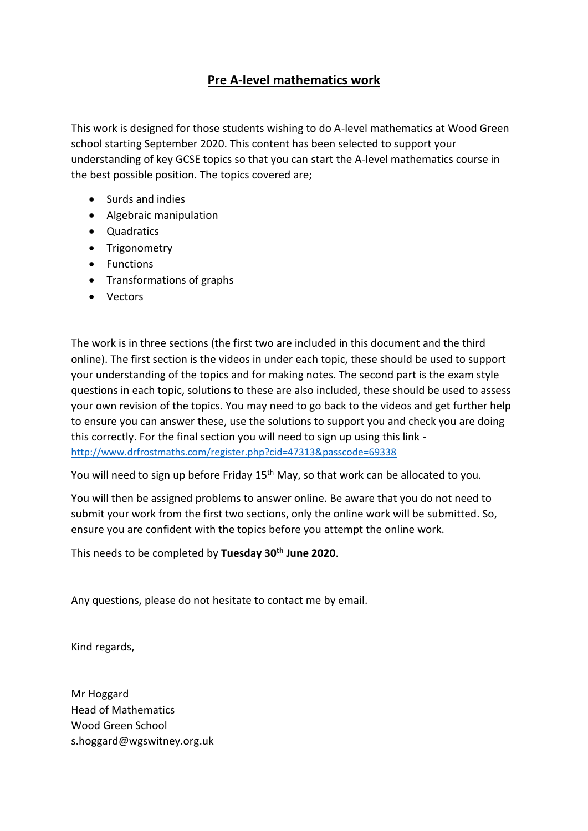## **Pre A-level mathematics work**

This work is designed for those students wishing to do A-level mathematics at Wood Green school starting September 2020. This content has been selected to support your understanding of key GCSE topics so that you can start the A-level mathematics course in the best possible position. The topics covered are;

- Surds and indies
- Algebraic manipulation
- Quadratics
- Trigonometry
- Functions
- Transformations of graphs
- Vectors

The work is in three sections (the first two are included in this document and the third online). The first section is the videos in under each topic, these should be used to support your understanding of the topics and for making notes. The second part is the exam style questions in each topic, solutions to these are also included, these should be used to assess your own revision of the topics. You may need to go back to the videos and get further help to ensure you can answer these, use the solutions to support you and check you are doing this correctly. For the final section you will need to sign up using this link <http://www.drfrostmaths.com/register.php?cid=47313&passcode=69338>

You will need to sign up before Friday 15<sup>th</sup> May, so that work can be allocated to you.

You will then be assigned problems to answer online. Be aware that you do not need to submit your work from the first two sections, only the online work will be submitted. So, ensure you are confident with the topics before you attempt the online work.

This needs to be completed by **Tuesday 30th June 2020**.

Any questions, please do not hesitate to contact me by email.

Kind regards,

Mr Hoggard Head of Mathematics Wood Green School s.hoggard@wgswitney.org.uk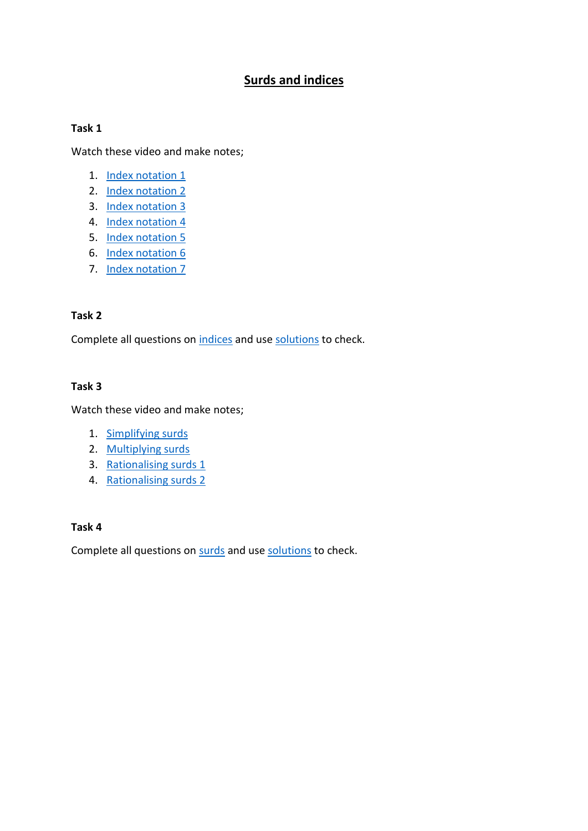## **Surds and indices**

### **Task 1**

Watch these video and make notes;

- 1. [Index notation 1](https://www.youtube.com/watch?v=ncMsVv-gml8)
- 2. [Index notation 2](https://www.youtube.com/watch?v=Q6FUVCl4BpE)
- 3. [Index notation 3](https://www.youtube.com/watch?v=EsOSc0urc68)
- 4. [Index notation 4](https://www.youtube.com/watch?v=y-Qx_YwHK08)
- 5. [Index notation 5](https://www.youtube.com/watch?v=pMWU85HmLUE)
- 6. [Index notation 6](https://www.youtube.com/watch?v=8J7iAiNbxHU)
- 7. [Index notation 7](https://www.youtube.com/watch?v=T8r7oasW9vk)

### **Task 2**

Complete all questions on [indices](https://www.mathsgenie.co.uk/resources/6-fractional-and-negative-indices.pdf) and use [solutions](https://www.mathsgenie.co.uk/resources/4-indicesans.pdf) to check.

### **Task 3**

Watch these video and make notes;

- 1. [Simplifying surds](https://www.youtube.com/watch?v=yiW2rJeupx4)
- 2. [Multiplying surds](https://www.youtube.com/watch?v=ADjF1tHRdDY)
- 3. [Rationalising surds 1](https://www.youtube.com/watch?v=T8mBbdlpG6Y)
- 4. [Rationalising surds 2](https://www.youtube.com/watch?v=4px1P8hzi5g)

### **Task 4**

Complete all questions on [surds](https://www.mathsgenie.co.uk/resources/7-surds.pdf) and use [solutions](https://www.mathsgenie.co.uk/resources/7-surdsans.pdf) to check.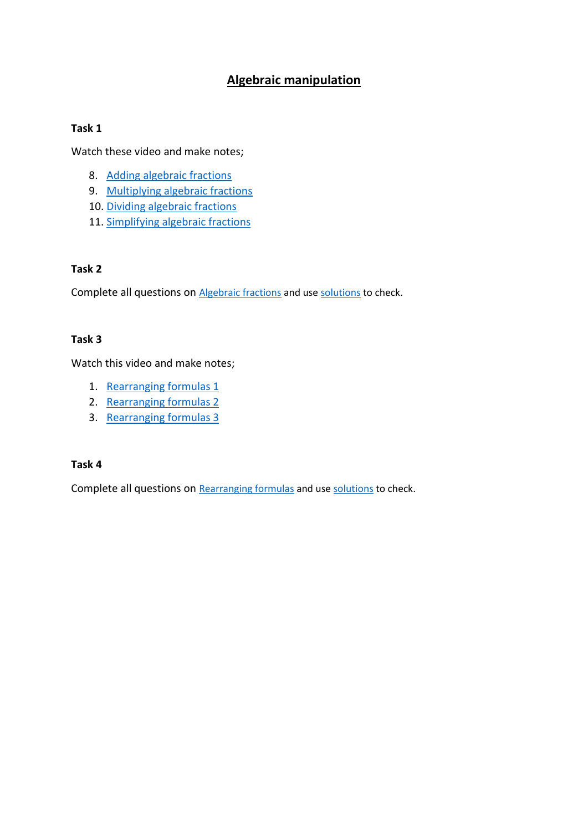## **Algebraic manipulation**

### **Task 1**

Watch these video and make notes;

- 8. [Adding algebraic fractions](https://www.youtube.com/watch?time_continue=1&v=w3JewxYjiNs&feature=emb_logo)
- 9. [Multiplying algebraic fractions](https://www.youtube.com/watch?time_continue=428&v=93Y8hCoOAj0&feature=emb_logo)
- 10. [Dividing algebraic fractions](https://www.youtube.com/watch?v=c89f9IewdkI&feature=emb_logo)
- 11. [Simplifying algebraic fractions](https://www.youtube.com/watch?v=tlKN8NNNxdI&feature=emb_logo)

### **Task 2**

Complete all questions on [Algebraic fractions](https://www.mathsgenie.co.uk/resources/7-algebraic-fractions.pdf) and us[e solutions](https://www.mathsgenie.co.uk/resources/7-algebraic-fractionsans.pdf) to check.

### **Task 3**

Watch this video and make notes;

- 1. [Rearranging formulas 1](https://www.youtube.com/watch?v=RStSzBUNxBI)
- 2. [Rearranging formulas 2](https://www.youtube.com/watch?v=Jvw43nACq38)
- 3. [Rearranging formulas 3](https://www.youtube.com/watch?v=hMQ9x9ieEFE)

### **Task 4**

Complete all questions on [Rearranging formulas](https://www.mathsgenie.co.uk/resources/7-rearranging-harder-formula.pdf) and us[e solutions](https://www.mathsgenie.co.uk/resources/7-rearranging-harder-formulaans.pdf) to check.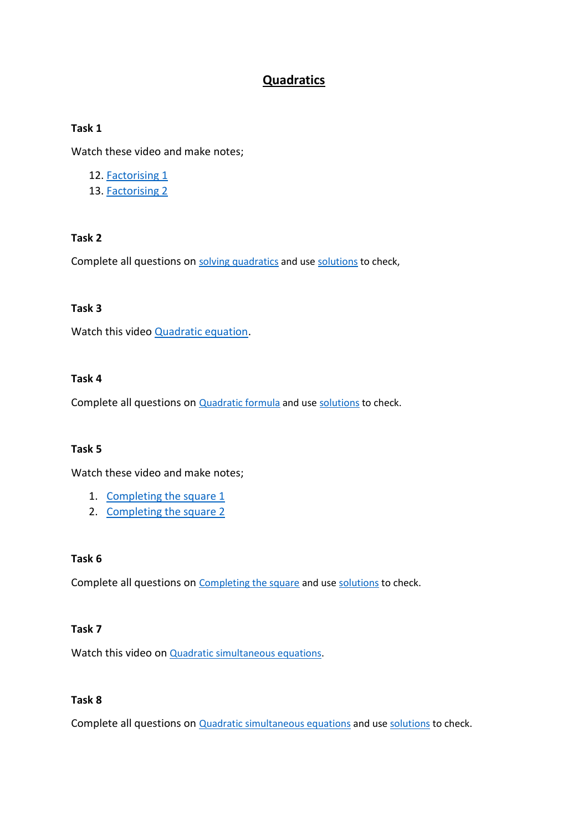## **Quadratics**

### **Task 1**

Watch these video and make notes;

- 12. [Factorising 1](https://www.youtube.com/watch?v=rkJ_qcriSZU)
- 13. [Factorising 2](https://www.youtube.com/watch?v=ARlimGFg4V4)

### **Task 2**

Complete all questions on [solving quadratics](https://www.mathsgenie.co.uk/resources/86_solving-quadratics-by-factorising.pdf) and us[e solutions](https://www.mathsgenie.co.uk/resources/86_solving-quadratics-by-factorisingans.pdf) to check,

### **Task 3**

Watch this video **Quadratic equation**.

### **Task 4**

Complete all questions on **[Quadratic formula](https://www.mathsgenie.co.uk/resources/7-quadratic-formula.pdf)** and us[e solutions](https://www.mathsgenie.co.uk/resources/7-quadratic-formulaans.pdf) to check.

### **Task 5**

Watch these video and make notes;

- 1. [Completing the square 1](https://www.youtube.com/watch?v=O7CQJZI75Lk)
- 2. [Completing the square 2](https://www.youtube.com/watch?v=4dDXk3LRTAs)

## **Task 6**

Complete all questions on [Completing the square](https://www.mathsgenie.co.uk/resources/9-completing-the-square.pdf) and use [solutions](https://www.mathsgenie.co.uk/resources/9-completing-the-squareans.pdf) to check.

### **Task 7**

Watch this video on [Quadratic simultaneous equations.](https://www.youtube.com/watch?v=KSS0nLu5PnE)

### **Task 8**

Complete all questions on **[Quadratic simultaneous equations](https://www.mathsgenie.co.uk/resources/9-quadratic-simultaneous-equations.pdf)** and use [solutions](https://www.mathsgenie.co.uk/resources/9-quadratic-simultaneous-equationsans.pdf) to check.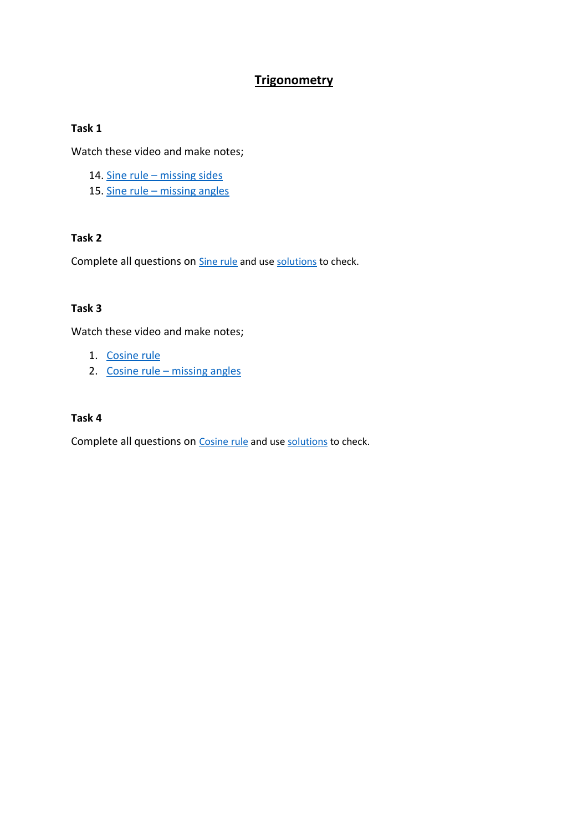## **Trigonometry**

## **Task 1**

Watch these video and make notes;

- 14. Sine rule [missing sides](https://www.youtube.com/watch?v=An_kU2n_3RY&feature=emb_logo)
- 15. Sine rule [missing angles](https://www.youtube.com/watch?time_continue=2&v=ISxiacGy6oA&feature=emb_logo)

## **Task 2**

Complete all questions on **[Sine rule](https://www.mathsgenie.co.uk/resources/7-sine-rule.pdf)** and use [solutions](https://www.mathsgenie.co.uk/resources/7-sine-ruleans.pdf) to check.

## **Task 3**

Watch these video and make notes;

- 1. [Cosine rule](https://www.youtube.com/watch?v=3H3u92WJAjw)
- 2. Cosine rule [missing angles](https://www.youtube.com/watch?v=Q0quAR-kAZg)

### **Task 4**

Complete all questions on [Cosine](https://www.mathsgenie.co.uk/resources/7-cosine-rule.pdf) rule and use [solutions](https://www.mathsgenie.co.uk/resources/7-cosine-ruleans.pdf) to check.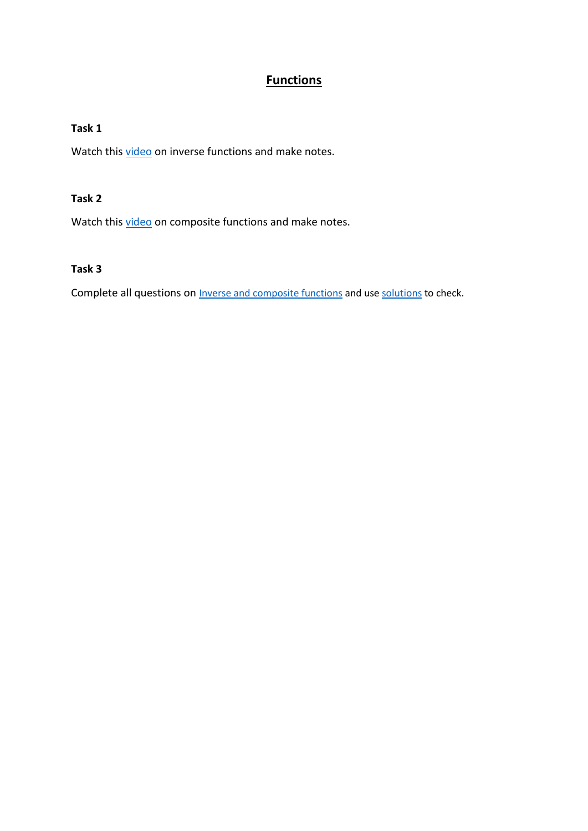# **Functions**

## **Task 1**

Watch this [video](https://www.youtube.com/watch?v=zpF9nbjResY&feature=emb_logo) on inverse functions and make notes.

### **Task 2**

Watch this [video](https://www.youtube.com/watch?v=u1YQVzrgYDg&feature=emb_logo) on composite functions and make notes.

## **Task 3**

Complete all questions on **[Inverse and composite functions](https://www.mathsgenie.co.uk/resources/functions.pdf)** and us[e solutions](https://www.mathsgenie.co.uk/resources/functionsans.pdf) to check.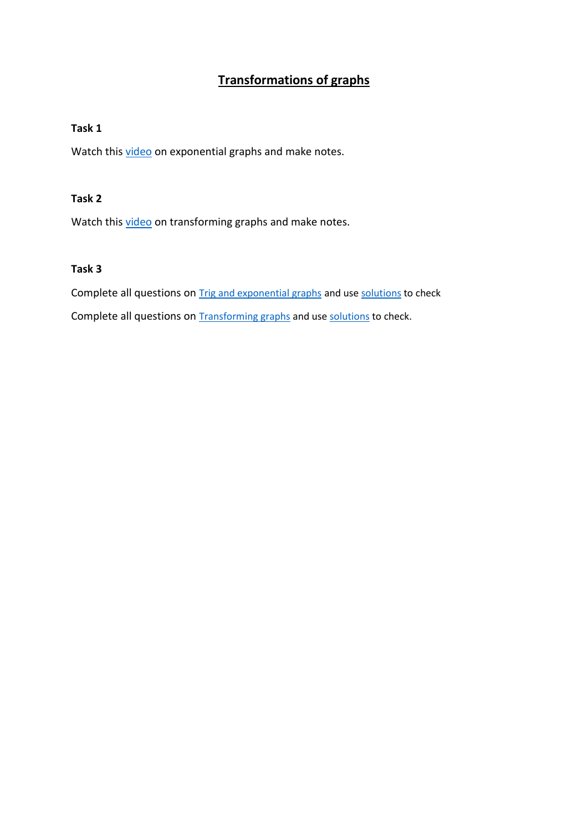# **Transformations of graphs**

## **Task 1**

Watch this [video](https://www.youtube.com/watch?time_continue=1&v=cp_nviIhgUw&feature=emb_logo) on exponential graphs and make notes.

#### **Task 2**

Watch this [video](https://www.youtube.com/watch?time_continue=1&v=eiRZATuHYg0&feature=emb_logo) on transforming graphs and make notes.

### **Task 3**

Complete all questions on **[Trig and exponential graphs](https://www.mathsgenie.co.uk/resources/trigandexponential.pdf)** and use **solutions** to check Complete all questions on **[Transforming graphs](https://www.mathsgenie.co.uk/resources/9-transforming-graphs.pdf)** and us[e solutions](https://www.mathsgenie.co.uk/resources/9-transforming-graphsans.pdf) to check.